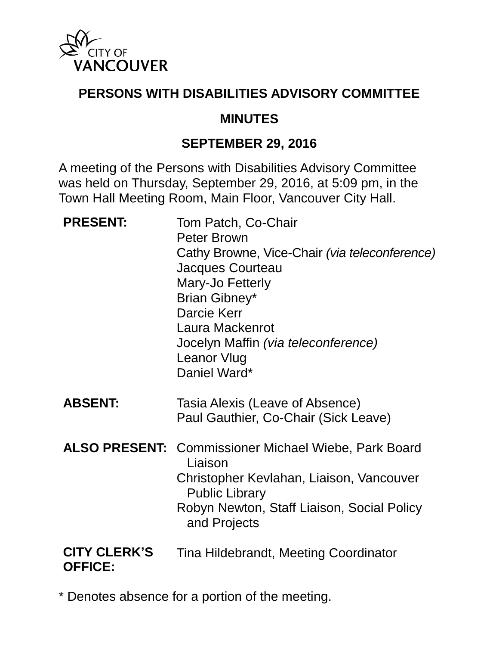

#### **PERSONS WITH DISABILITIES ADVISORY COMMITTEE**

#### **MINUTES**

#### **SEPTEMBER 29, 2016**

A meeting of the Persons with Disabilities Advisory Committee was held on Thursday, September 29, 2016, at 5:09 pm, in the Town Hall Meeting Room, Main Floor, Vancouver City Hall.

| <b>PRESENT:</b>                       | Tom Patch, Co-Chair<br><b>Peter Brown</b><br>Cathy Browne, Vice-Chair (via teleconference)<br><b>Jacques Courteau</b><br>Mary-Jo Fetterly<br>Brian Gibney*<br>Darcie Kerr<br>Laura Mackenrot<br>Jocelyn Maffin (via teleconference)<br><b>Leanor Vlug</b><br>Daniel Ward* |
|---------------------------------------|---------------------------------------------------------------------------------------------------------------------------------------------------------------------------------------------------------------------------------------------------------------------------|
| <b>ABSENT:</b>                        | Tasia Alexis (Leave of Absence)<br>Paul Gauthier, Co-Chair (Sick Leave)                                                                                                                                                                                                   |
|                                       | <b>ALSO PRESENT: Commissioner Michael Wiebe, Park Board</b><br>Liaison<br>Christopher Kevlahan, Liaison, Vancouver<br><b>Public Library</b><br>Robyn Newton, Staff Liaison, Social Policy<br>and Projects                                                                 |
| <b>CITY CLERK'S</b><br><b>OFFICE:</b> | Tina Hildebrandt, Meeting Coordinator                                                                                                                                                                                                                                     |

\* Denotes absence for a portion of the meeting.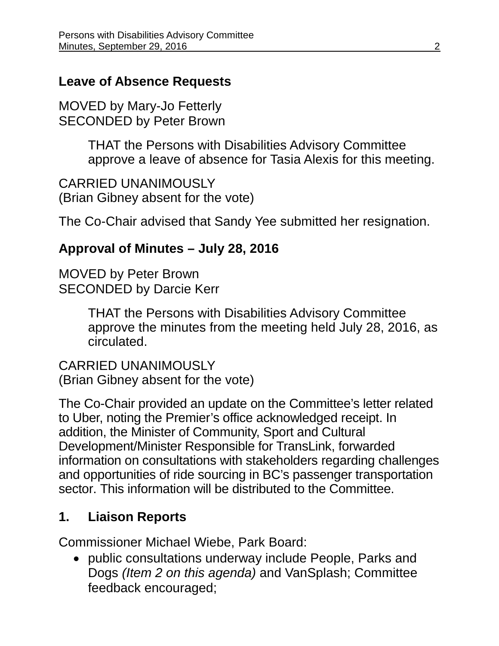### **Leave of Absence Requests**

MOVED by Mary-Jo Fetterly SECONDED by Peter Brown

> THAT the Persons with Disabilities Advisory Committee approve a leave of absence for Tasia Alexis for this meeting.

CARRIED UNANIMOUSLY (Brian Gibney absent for the vote)

The Co-Chair advised that Sandy Yee submitted her resignation.

## **Approval of Minutes – July 28, 2016**

MOVED by Peter Brown SECONDED by Darcie Kerr

> THAT the Persons with Disabilities Advisory Committee approve the minutes from the meeting held July 28, 2016, as circulated.

CARRIED UNANIMOUSLY (Brian Gibney absent for the vote)

The Co-Chair provided an update on the Committee's letter related to Uber, noting the Premier's office acknowledged receipt. In addition, the Minister of Community, Sport and Cultural Development/Minister Responsible for TransLink, forwarded information on consultations with stakeholders regarding challenges and opportunities of ride sourcing in BC's passenger transportation sector. This information will be distributed to the Committee.

# **1. Liaison Reports**

Commissioner Michael Wiebe, Park Board:

• public consultations underway include People, Parks and Dogs *(Item 2 on this agenda)* and VanSplash; Committee feedback encouraged;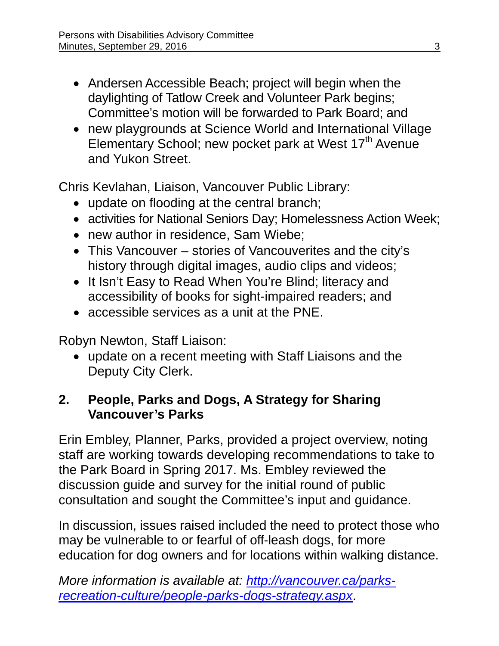- Andersen Accessible Beach; project will begin when the daylighting of Tatlow Creek and Volunteer Park begins; Committee's motion will be forwarded to Park Board; and
- new playgrounds at Science World and International Village Elementary School; new pocket park at West 17<sup>th</sup> Avenue and Yukon Street.

Chris Kevlahan, Liaison, Vancouver Public Library:

- update on flooding at the central branch;
- activities for National Seniors Day; Homelessness Action Week;
- new author in residence, Sam Wiebe;
- This Vancouver stories of Vancouverites and the city's history through digital images, audio clips and videos;
- It Isn't Easy to Read When You're Blind; literacy and accessibility of books for sight-impaired readers; and
- accessible services as a unit at the PNE.

Robyn Newton, Staff Liaison:

• update on a recent meeting with Staff Liaisons and the Deputy City Clerk.

## **2. People, Parks and Dogs, A Strategy for Sharing Vancouver's Parks**

Erin Embley, Planner, Parks, provided a project overview, noting staff are working towards developing recommendations to take to the Park Board in Spring 2017. Ms. Embley reviewed the discussion guide and survey for the initial round of public consultation and sought the Committee's input and guidance.

In discussion, issues raised included the need to protect those who may be vulnerable to or fearful of off-leash dogs, for more education for dog owners and for locations within walking distance.

*More information is available at: [http://vancouver.ca/parks](http://vancouver.ca/parks-recreation-culture/people-parks-dogs-strategy.aspx)[recreation-culture/people-parks-dogs-strategy.aspx](http://vancouver.ca/parks-recreation-culture/people-parks-dogs-strategy.aspx)*.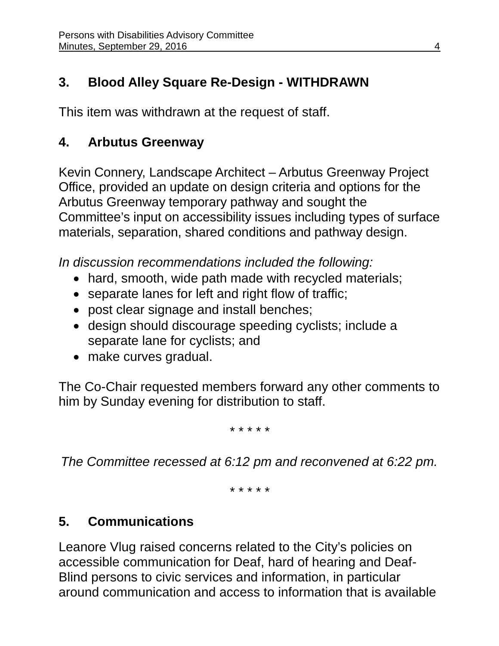# **3. Blood Alley Square Re-Design - WITHDRAWN**

This item was withdrawn at the request of staff.

# **4. Arbutus Greenway**

Kevin Connery, Landscape Architect – Arbutus Greenway Project Office, provided an update on design criteria and options for the Arbutus Greenway temporary pathway and sought the Committee's input on accessibility issues including types of surface materials, separation, shared conditions and pathway design.

*In discussion recommendations included the following:* 

- hard, smooth, wide path made with recycled materials;
- separate lanes for left and right flow of traffic;
- post clear signage and install benches;
- design should discourage speeding cyclists; include a separate lane for cyclists; and
- make curves gradual.

The Co-Chair requested members forward any other comments to him by Sunday evening for distribution to staff.

*\* \* \* \* \**

*The Committee recessed at 6:12 pm and reconvened at 6:22 pm.* 

*\* \* \* \* \**

# **5. Communications**

Leanore Vlug raised concerns related to the City's policies on accessible communication for Deaf, hard of hearing and Deaf-Blind persons to civic services and information, in particular around communication and access to information that is available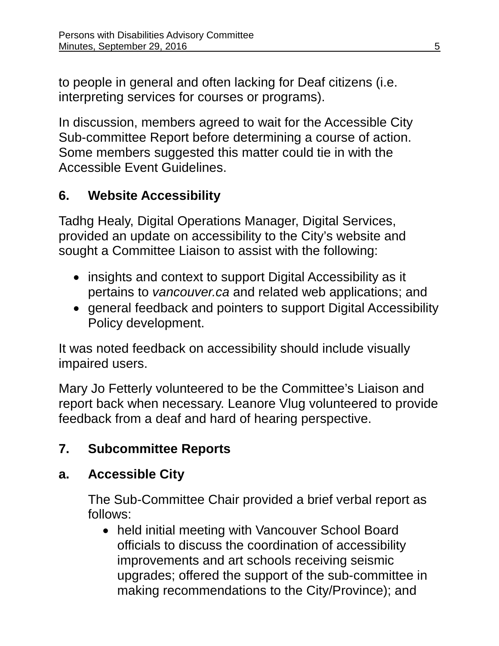to people in general and often lacking for Deaf citizens (i.e. interpreting services for courses or programs).

In discussion, members agreed to wait for the Accessible City Sub-committee Report before determining a course of action. Some members suggested this matter could tie in with the Accessible Event Guidelines.

# **6. Website Accessibility**

Tadhg Healy, Digital Operations Manager, Digital Services, provided an update on accessibility to the City's website and sought a Committee Liaison to assist with the following:

- insights and context to support Digital Accessibility as it pertains to *vancouver.ca* and related web applications; and
- general feedback and pointers to support Digital Accessibility Policy development.

It was noted feedback on accessibility should include visually impaired users.

Mary Jo Fetterly volunteered to be the Committee's Liaison and report back when necessary. Leanore Vlug volunteered to provide feedback from a deaf and hard of hearing perspective.

# **7. Subcommittee Reports**

# **a. Accessible City**

The Sub-Committee Chair provided a brief verbal report as follows:

• held initial meeting with Vancouver School Board officials to discuss the coordination of accessibility improvements and art schools receiving seismic upgrades; offered the support of the sub-committee in making recommendations to the City/Province); and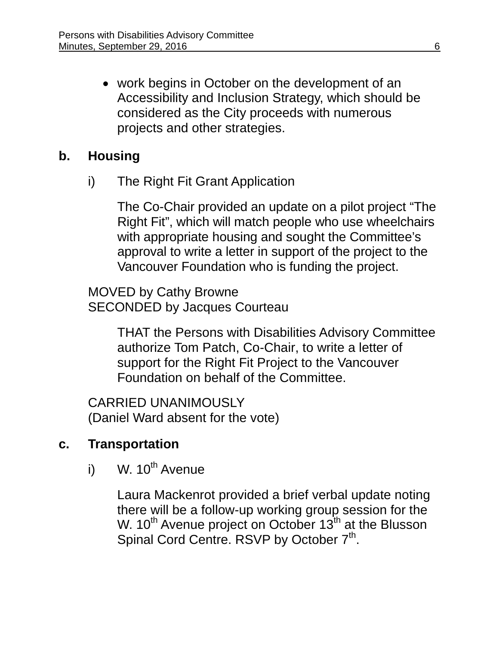• work begins in October on the development of an Accessibility and Inclusion Strategy, which should be considered as the City proceeds with numerous projects and other strategies.

### **b. Housing**

i) The Right Fit Grant Application

The Co-Chair provided an update on a pilot project "The Right Fit", which will match people who use wheelchairs with appropriate housing and sought the Committee's approval to write a letter in support of the project to the Vancouver Foundation who is funding the project.

MOVED by Cathy Browne SECONDED by Jacques Courteau

> THAT the Persons with Disabilities Advisory Committee authorize Tom Patch, Co-Chair, to write a letter of support for the Right Fit Project to the Vancouver Foundation on behalf of the Committee.

CARRIED UNANIMOUSLY (Daniel Ward absent for the vote)

### **c. Transportation**

i) W.  $10^{th}$  Avenue

Laura Mackenrot provided a brief verbal update noting there will be a follow-up working group session for the W.  $10^{th}$  Avenue project on October  $13^{th}$  at the Blusson Spinal Cord Centre. RSVP by October 7<sup>th</sup>.